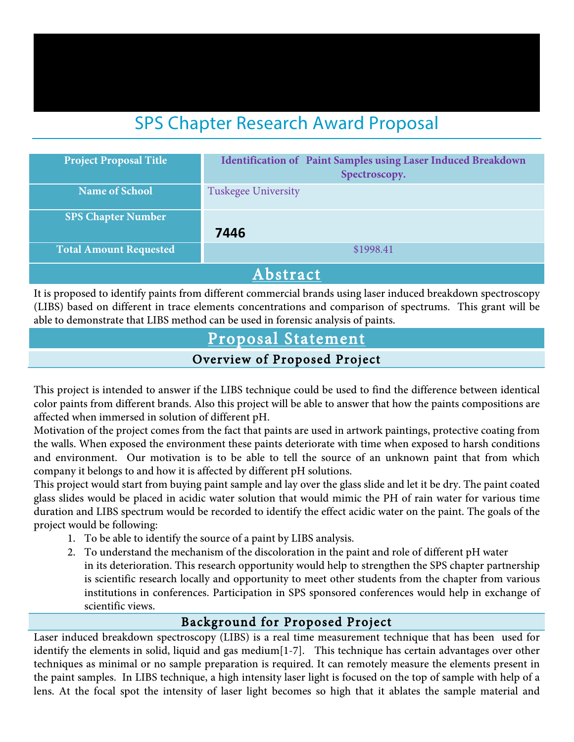# SPS Chapter Research Award Proposal

| <b>Project Proposal Title</b> | <b>Identification of Paint Samples using Laser Induced Breakdown</b><br>Spectroscopy. |  |  |
|-------------------------------|---------------------------------------------------------------------------------------|--|--|
| <b>Name of School</b>         | Tuskegee University                                                                   |  |  |
| <b>SPS Chapter Number</b>     | 7446                                                                                  |  |  |
| <b>Total Amount Requested</b> | \$1998.41                                                                             |  |  |
| Abstract                      |                                                                                       |  |  |

It is proposed to identify paints from different commercial brands using laser induced breakdown spectroscopy (LIBS) based on different in trace elements concentrations and comparison of spectrums. This grant will be able to demonstrate that LIBS method can be used in forensic analysis of paints.

# Proposal Statement

#### Overview of Proposed Project

This project is intended to answer if the LIBS technique could be used to find the difference between identical color paints from different brands. Also this project will be able to answer that how the paints compositions are affected when immersed in solution of different pH.

Motivation of the project comes from the fact that paints are used in artwork paintings, protective coating from the walls. When exposed the environment these paints deteriorate with time when exposed to harsh conditions and environment. Our motivation is to be able to tell the source of an unknown paint that from which company it belongs to and how it is affected by different pH solutions.

This project would start from buying paint sample and lay over the glass slide and let it be dry. The paint coated glass slides would be placed in acidic water solution that would mimic the PH of rain water for various time duration and LIBS spectrum would be recorded to identify the effect acidic water on the paint. The goals of the project would be following:

- 1. To be able to identify the source of a paint by LIBS analysis.
- 2. To understand the mechanism of the discoloration in the paint and role of different pH water in its deterioration. This research opportunity would help to strengthen the SPS chapter partnership is scientific research locally and opportunity to meet other students from the chapter from various institutions in conferences. Participation in SPS sponsored conferences would help in exchange of scientific views.

## Background for Proposed Project

Laser induced breakdown spectroscopy (LIBS) is a real time measurement technique that has been used for identify the elements in solid, liquid and gas medium[1-7]. This technique has certain advantages over other techniques as minimal or no sample preparation is required. It can remotely measure the elements present in the paint samples. In LIBS technique, a high intensity laser light is focused on the top of sample with help of a lens. At the focal spot the intensity of laser light becomes so high that it ablates the sample material and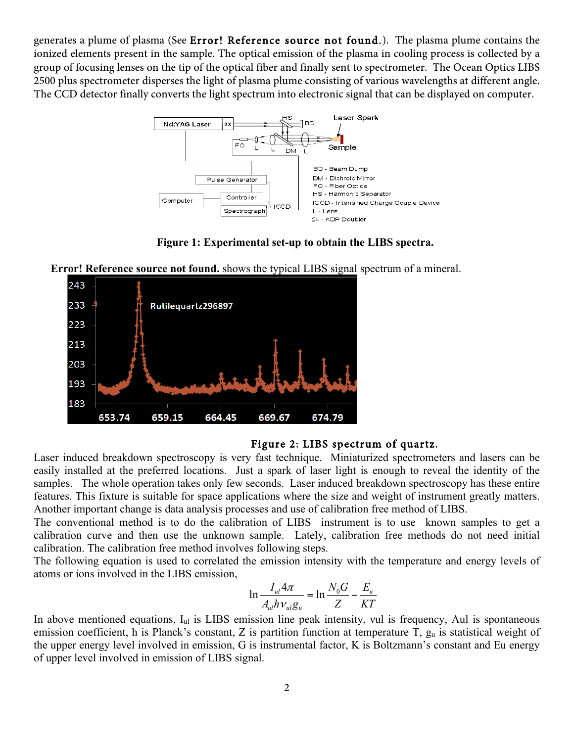generates a plume of plasma (See Error! Reference source not found.). The plasma plume contains the ionized elements present in the sample. The optical emission of the plasma in cooling process is collected by a group of focusing lenses on the tip of the optical fiber and finally sent to spectrometer. The Ocean Optics LIBS 2500 plus spectrometer disperses the light of plasma plume consisting of various wavelengths at different angle. The CCD detector finally converts the light spectrum into electronic signal that can be displayed on computer.



**Figure 1: Experimental set-up to obtain the LIBS spectra.**

**Error! Reference source not found.** shows the typical LIBS signal spectrum of a mineral.



#### Figure 2: LIBS spectrum of quartz.

Laser induced breakdown spectroscopy is very fast technique. Miniaturized spectrometers and lasers can be easily installed at the preferred locations. Just a spark of laser light is enough to reveal the identity of the samples. The whole operation takes only few seconds. Laser induced breakdown spectroscopy has these entire features. This fixture is suitable for space applications where the size and weight of instrument greatly matters. Another important change is data analysis processes and use of calibration free method of LIBS.

The conventional method is to do the calibration of LIBS instrument is to use known samples to get a calibration curve and then use the unknown sample. Lately, calibration free methods do not need initial calibration. The calibration free method involves following steps.

The following equation is used to correlated the emission intensity with the temperature and energy levels of atoms or ions involved in the LIBS emission,

$$
\ln \frac{I_{ul} 4\pi}{A_{ul} h v_{ul} g_u} = \ln \frac{N_0 G}{Z} - \frac{E_u}{KT}
$$

In above mentioned equations, I<sub>ul</sub> is LIBS emission line peak intensity, vul is frequency, Aul is spontaneous emission coefficient, h is Planck's constant, Z is partition function at temperature T,  $g_u$  is statistical weight of the upper energy level involved in emission, G is instrumental factor, K is Boltzmann's constant and Eu energy of upper level involved in emission of LIBS signal.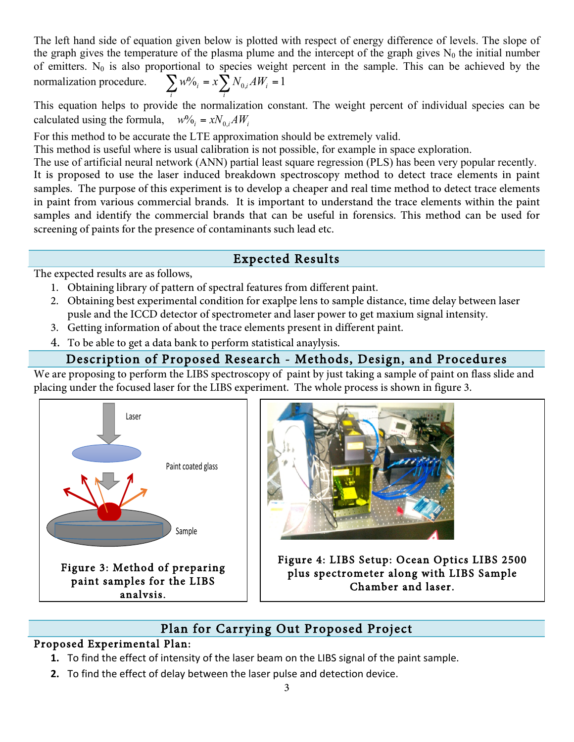The left hand side of equation given below is plotted with respect of energy difference of levels. The slope of the graph gives the temperature of the plasma plume and the intercept of the graph gives  $N_0$  the initial number of emitters.  $N_0$  is also proportional to species weight percent in the sample. This can be achieved by the normalization procedure.  $\sum_{i} w \%_{i} = x \sum_{i} N_{0,i} A W_{i} = 1$ *i*  $w^0\%_i = x \sum N_{0,i}AW_i$ 

This equation helps to provide the normalization constant. The weight percent of individual species can be calculated using the formula,  $w\% = xN_{0,i}AW_i$ 

For this method to be accurate the LTE approximation should be extremely valid.

This method is useful where is usual calibration is not possible, for example in space exploration.

The use of artificial neural network (ANN) partial least square regression (PLS) has been very popular recently. It is proposed to use the laser induced breakdown spectroscopy method to detect trace elements in paint samples. The purpose of this experiment is to develop a cheaper and real time method to detect trace elements in paint from various commercial brands. It is important to understand the trace elements within the paint samples and identify the commercial brands that can be useful in forensics. This method can be used for screening of paints for the presence of contaminants such lead etc.

### Expected Results

The expected results are as follows,

- 1. Obtaining library of pattern of spectral features from different paint.
- 2. Obtaining best experimental condition for exaplpe lens to sample distance, time delay between laser pusle and the ICCD detector of spectrometer and laser power to get maxium signal intensity.
- 3. Getting information of about the trace elements present in different paint.
- 4. To be able to get a data bank to perform statistical anaylysis.

## Description of Proposed Research - Methods, Design, and Procedures

We are proposing to perform the LIBS spectroscopy of paint by just taking a sample of paint on flass slide and placing under the focused laser for the LIBS experiment. The whole process is shown in figure 3.





Figure 4: LIBS Setup: Ocean Optics LIBS 2500 plus spectrometer along with LIBS Sample Chamber and laser.

# Plan for Carrying Out Proposed Project

### Proposed Experimental Plan:

- **1.** To find the effect of intensity of the laser beam on the LIBS signal of the paint sample.
- **2.** To find the effect of delay between the laser pulse and detection device.